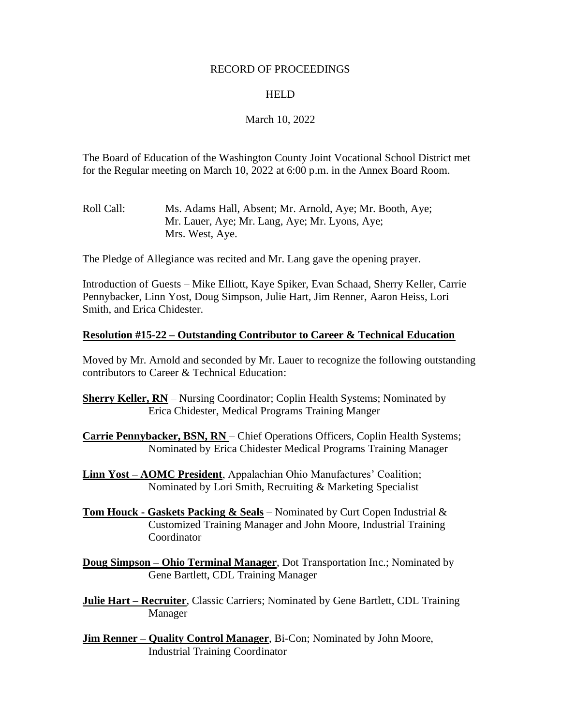#### RECORD OF PROCEEDINGS

#### HELD

### March 10, 2022

The Board of Education of the Washington County Joint Vocational School District met for the Regular meeting on March 10, 2022 at 6:00 p.m. in the Annex Board Room.

Roll Call: Ms. Adams Hall, Absent; Mr. Arnold, Aye; Mr. Booth, Aye; Mr. Lauer, Aye; Mr. Lang, Aye; Mr. Lyons, Aye; Mrs. West, Aye.

The Pledge of Allegiance was recited and Mr. Lang gave the opening prayer.

Introduction of Guests – Mike Elliott, Kaye Spiker, Evan Schaad, Sherry Keller, Carrie Pennybacker, Linn Yost, Doug Simpson, Julie Hart, Jim Renner, Aaron Heiss, Lori Smith, and Erica Chidester.

#### **Resolution #15-22 – Outstanding Contributor to Career & Technical Education**

Moved by Mr. Arnold and seconded by Mr. Lauer to recognize the following outstanding contributors to Career & Technical Education:

**Sherry Keller, RN** – Nursing Coordinator; Coplin Health Systems; Nominated by Erica Chidester, Medical Programs Training Manger

**Carrie Pennybacker, BSN, RN** – Chief Operations Officers, Coplin Health Systems; Nominated by Erica Chidester Medical Programs Training Manager

**Linn Yost – AOMC President**, Appalachian Ohio Manufactures' Coalition; Nominated by Lori Smith, Recruiting & Marketing Specialist

**Tom Houck - Gaskets Packing & Seals** – Nominated by Curt Copen Industrial & Customized Training Manager and John Moore, Industrial Training Coordinator

**Doug Simpson – Ohio Terminal Manager**, Dot Transportation Inc.; Nominated by Gene Bartlett, CDL Training Manager

**Julie Hart – Recruiter**, Classic Carriers; Nominated by Gene Bartlett, CDL Training Manager

**Jim Renner – Quality Control Manager**, Bi-Con; Nominated by John Moore, Industrial Training Coordinator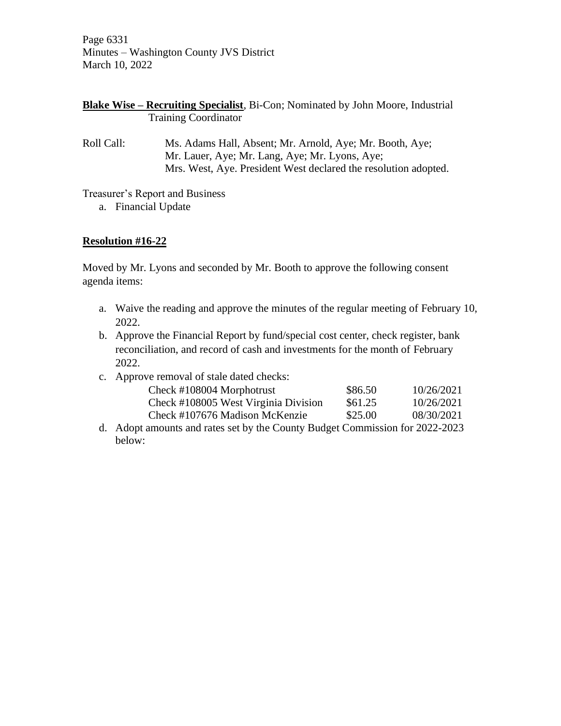Page 6331 Minutes – Washington County JVS District March 10, 2022

|                             | <b>Blake Wise – Recruiting Specialist</b> , Bi-Con; Nominated by John Moore, Industrial |
|-----------------------------|-----------------------------------------------------------------------------------------|
| <b>Training Coordinator</b> |                                                                                         |

Roll Call: Ms. Adams Hall, Absent; Mr. Arnold, Aye; Mr. Booth, Aye; Mr. Lauer, Aye; Mr. Lang, Aye; Mr. Lyons, Aye; Mrs. West, Aye. President West declared the resolution adopted.

Treasurer's Report and Business

a. Financial Update

## **Resolution #16-22**

Moved by Mr. Lyons and seconded by Mr. Booth to approve the following consent agenda items:

- a. Waive the reading and approve the minutes of the regular meeting of February 10, 2022.
- b. Approve the Financial Report by fund/special cost center, check register, bank reconciliation, and record of cash and investments for the month of February 2022.
- c. Approve removal of stale dated checks:

| Check #108004 Morphotrust            | \$86.50 | 10/26/2021 |
|--------------------------------------|---------|------------|
| Check #108005 West Virginia Division | \$61.25 | 10/26/2021 |
| Check #107676 Madison McKenzie       | \$25.00 | 08/30/2021 |

d. Adopt amounts and rates set by the County Budget Commission for 2022-2023 below: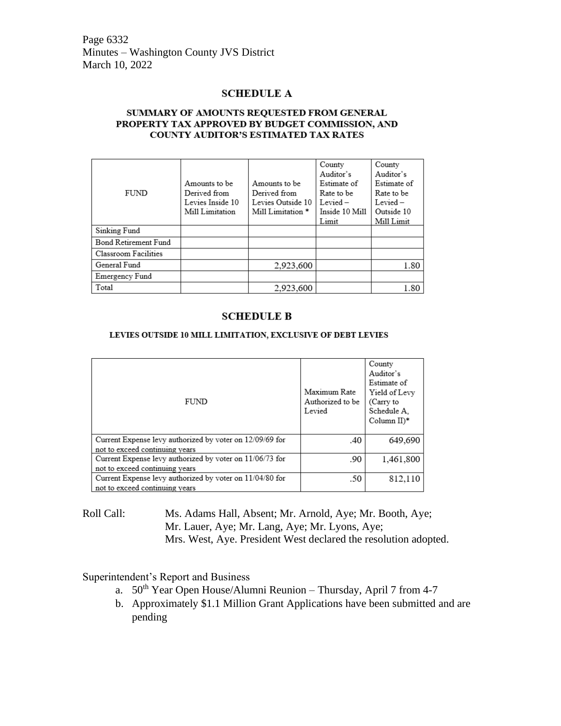Page 6332 Minutes – Washington County JVS District March 10, 2022

#### **SCHEDULE A**

#### SUMMARY OF AMOUNTS REQUESTED FROM GENERAL PROPERTY TAX APPROVED BY BUDGET COMMISSION, AND COUNTY AUDITOR'S ESTIMATED TAX RATES

|                      |                  |                              | County         | County      |
|----------------------|------------------|------------------------------|----------------|-------------|
|                      |                  |                              | Auditor's      | Auditor's   |
|                      | Amounts to be    | Amounts to be                | Estimate of    | Estimate of |
| <b>FUND</b>          | Derived from     | Derived from                 | Rate to be     | Rate to be  |
|                      | Levies Inside 10 | Levies Outside 10            | $Level -$      | $Level -$   |
|                      | Mill Limitation  | Mill Limitation <sup>*</sup> | Inside 10 Mill | Outside 10  |
|                      |                  |                              | Limit          | Mill Limit  |
| Sinking Fund         |                  |                              |                |             |
| Bond Retirement Fund |                  |                              |                |             |
| Classroom Facilities |                  |                              |                |             |
| General Fund         |                  | 2,923,600                    |                | 1.80        |
| Emergency Fund       |                  |                              |                |             |
| Total                |                  | 2,923,600                    |                | 1.80        |

#### **SCHEDULE B**

#### LEVIES OUTSIDE 10 MILL LIMITATION, EXCLUSIVE OF DEBT LEVIES

|                                                          |                  | County                   |
|----------------------------------------------------------|------------------|--------------------------|
|                                                          |                  |                          |
|                                                          |                  | Auditor's                |
|                                                          |                  | Estimate of              |
|                                                          | Maximum Rate     | Yield of Levy            |
| <b>FUND</b>                                              | Authorized to be | (Carry to                |
|                                                          | Levied           | Schedule A.              |
|                                                          |                  | Column $II$ <sup>*</sup> |
|                                                          |                  |                          |
| Current Expense levy authorized by voter on 12/09/69 for | .40              | 649,690                  |
| not to exceed continuing years                           |                  |                          |
|                                                          |                  |                          |
| Current Expense levy authorized by voter on 11/06/73 for | .90              | 1,461,800                |
| not to exceed continuing years                           |                  |                          |
| Current Expense levy authorized by voter on 11/04/80 for | .50              | 812,110                  |
| not to exceed continuing years                           |                  |                          |

Roll Call: Ms. Adams Hall, Absent; Mr. Arnold, Aye; Mr. Booth, Aye; Mr. Lauer, Aye; Mr. Lang, Aye; Mr. Lyons, Aye; Mrs. West, Aye. President West declared the resolution adopted.

#### Superintendent's Report and Business

- a.  $50<sup>th</sup>$  Year Open House/Alumni Reunion Thursday, April 7 from 4-7
- b. Approximately \$1.1 Million Grant Applications have been submitted and are pending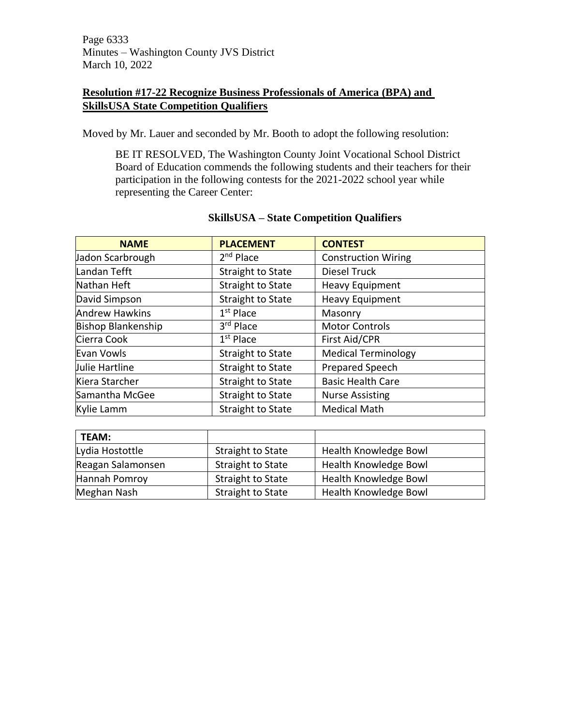Page 6333 Minutes – Washington County JVS District March 10, 2022

## **Resolution #17-22 Recognize Business Professionals of America (BPA) and SkillsUSA State Competition Qualifiers**

Moved by Mr. Lauer and seconded by Mr. Booth to adopt the following resolution:

BE IT RESOLVED, The Washington County Joint Vocational School District Board of Education commends the following students and their teachers for their participation in the following contests for the 2021-2022 school year while representing the Career Center:

| <b>NAME</b>               | <b>PLACEMENT</b>         | <b>CONTEST</b>             |  |
|---------------------------|--------------------------|----------------------------|--|
| Jadon Scarbrough          | $2nd$ Place              | <b>Construction Wiring</b> |  |
| Landan Tefft              | <b>Straight to State</b> | Diesel Truck               |  |
| Nathan Heft               | <b>Straight to State</b> | <b>Heavy Equipment</b>     |  |
| David Simpson             | <b>Straight to State</b> | <b>Heavy Equipment</b>     |  |
| <b>Andrew Hawkins</b>     | $1st$ Place              | Masonry                    |  |
| <b>Bishop Blankenship</b> | 3rd Place                | <b>Motor Controls</b>      |  |
| Cierra Cook               | $1st$ Place              | First Aid/CPR              |  |
| Evan Vowls                | <b>Straight to State</b> | <b>Medical Terminology</b> |  |
| Julie Hartline            | <b>Straight to State</b> | <b>Prepared Speech</b>     |  |
| Kiera Starcher            | <b>Straight to State</b> | <b>Basic Health Care</b>   |  |
| Samantha McGee            | <b>Straight to State</b> | <b>Nurse Assisting</b>     |  |
| Kylie Lamm                | <b>Straight to State</b> | <b>Medical Math</b>        |  |

#### **SkillsUSA – State Competition Qualifiers**

| <b>TEAM:</b>      |                   |                       |
|-------------------|-------------------|-----------------------|
| Lydia Hostottle   | Straight to State | Health Knowledge Bowl |
| Reagan Salamonsen | Straight to State | Health Knowledge Bowl |
| Hannah Pomroy     | Straight to State | Health Knowledge Bowl |
| Meghan Nash       | Straight to State | Health Knowledge Bowl |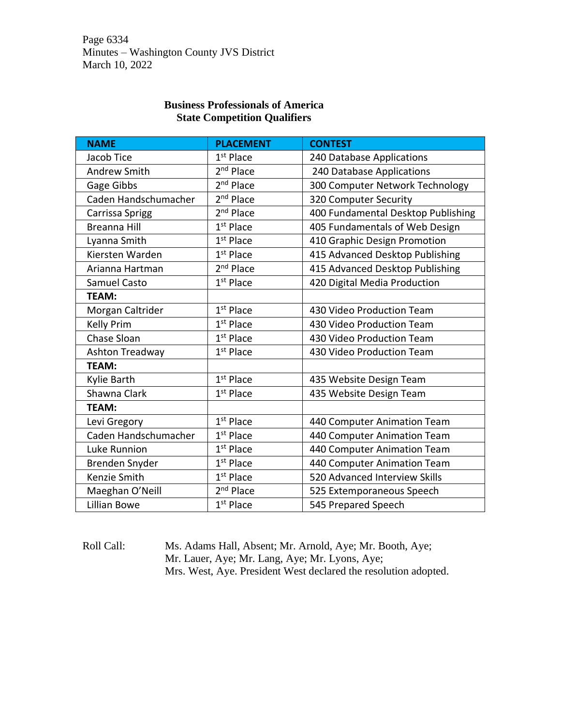Page 6334 Minutes – Washington County JVS District March 10, 2022

#### **Business Professionals of America State Competition Qualifiers**

| <b>NAME</b>          | <b>PLACEMENT</b>      | <b>CONTEST</b>                     |  |
|----------------------|-----------------------|------------------------------------|--|
| Jacob Tice           | $1st$ Place           | 240 Database Applications          |  |
| <b>Andrew Smith</b>  | 2 <sup>nd</sup> Place | 240 Database Applications          |  |
| Gage Gibbs           | 2 <sup>nd</sup> Place | 300 Computer Network Technology    |  |
| Caden Handschumacher | 2 <sup>nd</sup> Place | 320 Computer Security              |  |
| Carrissa Sprigg      | 2 <sup>nd</sup> Place | 400 Fundamental Desktop Publishing |  |
| <b>Breanna Hill</b>  | $1st$ Place           | 405 Fundamentals of Web Design     |  |
| Lyanna Smith         | $1st$ Place           | 410 Graphic Design Promotion       |  |
| Kiersten Warden      | $1st$ Place           | 415 Advanced Desktop Publishing    |  |
| Arianna Hartman      | 2 <sup>nd</sup> Place | 415 Advanced Desktop Publishing    |  |
| <b>Samuel Casto</b>  | 1 <sup>st</sup> Place | 420 Digital Media Production       |  |
| <b>TEAM:</b>         |                       |                                    |  |
| Morgan Caltrider     | $1st$ Place           | 430 Video Production Team          |  |
| <b>Kelly Prim</b>    | $1st$ Place           | 430 Video Production Team          |  |
| Chase Sloan          | $1st$ Place           | 430 Video Production Team          |  |
| Ashton Treadway      | 1 <sup>st</sup> Place | 430 Video Production Team          |  |
| TEAM:                |                       |                                    |  |
| Kylie Barth          | $1st$ Place           | 435 Website Design Team            |  |
| Shawna Clark         | $1st$ Place           | 435 Website Design Team            |  |
| <b>TEAM:</b>         |                       |                                    |  |
| Levi Gregory         | $1st$ Place           | 440 Computer Animation Team        |  |
| Caden Handschumacher | $1st$ Place           | 440 Computer Animation Team        |  |
| Luke Runnion         | $1st$ Place           | 440 Computer Animation Team        |  |
| Brenden Snyder       | $1st$ Place           | 440 Computer Animation Team        |  |
| <b>Kenzie Smith</b>  | $1st$ Place           | 520 Advanced Interview Skills      |  |
| Maeghan O'Neill      | 2 <sup>nd</sup> Place | 525 Extemporaneous Speech          |  |
| Lillian Bowe         | $1st$ Place           | 545 Prepared Speech                |  |

Roll Call: Ms. Adams Hall, Absent; Mr. Arnold, Aye; Mr. Booth, Aye; Mr. Lauer, Aye; Mr. Lang, Aye; Mr. Lyons, Aye; Mrs. West, Aye. President West declared the resolution adopted.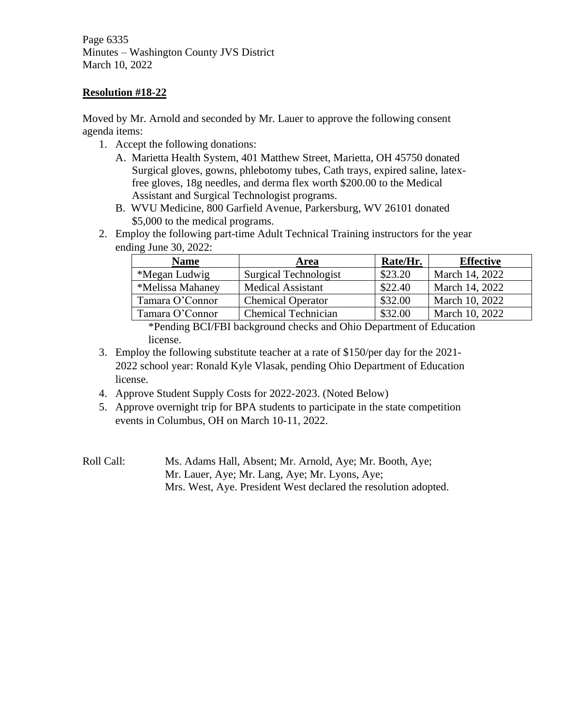Page 6335 Minutes – Washington County JVS District March 10, 2022

### **Resolution #18-22**

Moved by Mr. Arnold and seconded by Mr. Lauer to approve the following consent agenda items:

- 1. Accept the following donations:
	- A. Marietta Health System, 401 Matthew Street, Marietta, OH 45750 donated Surgical gloves, gowns, phlebotomy tubes, Cath trays, expired saline, latexfree gloves, 18g needles, and derma flex worth \$200.00 to the Medical Assistant and Surgical Technologist programs.
	- B. WVU Medicine, 800 Garfield Avenue, Parkersburg, WV 26101 donated \$5,000 to the medical programs.
- 2. Employ the following part-time Adult Technical Training instructors for the year ending June 30, 2022:

| <b>Name</b>      | Area                         | Rate/Hr. | <b>Effective</b> |
|------------------|------------------------------|----------|------------------|
| *Megan Ludwig    | <b>Surgical Technologist</b> | \$23.20  | March 14, 2022   |
| *Melissa Mahaney | <b>Medical Assistant</b>     | \$22.40  | March 14, 2022   |
| Tamara O'Connor  | <b>Chemical Operator</b>     | \$32.00  | March 10, 2022   |
| Tamara O'Connor  | <b>Chemical Technician</b>   | \$32.00  | March 10, 2022   |

\*Pending BCI/FBI background checks and Ohio Department of Education license.

- 3. Employ the following substitute teacher at a rate of \$150/per day for the 2021- 2022 school year: Ronald Kyle Vlasak, pending Ohio Department of Education license.
- 4. Approve Student Supply Costs for 2022-2023. (Noted Below)
- 5. Approve overnight trip for BPA students to participate in the state competition events in Columbus, OH on March 10-11, 2022.
- Roll Call: Ms. Adams Hall, Absent; Mr. Arnold, Aye; Mr. Booth, Aye; Mr. Lauer, Aye; Mr. Lang, Aye; Mr. Lyons, Aye; Mrs. West, Aye. President West declared the resolution adopted.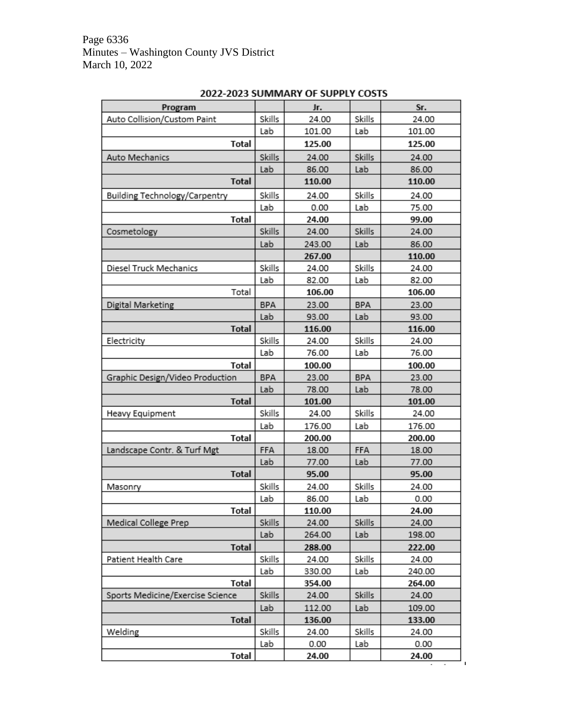| Program                          |            | Jr.    |            | Sr.    |
|----------------------------------|------------|--------|------------|--------|
| Auto Collision/Custom Paint      | Skills     | 24.00  | Skills     | 24.00  |
|                                  | Lab        | 101.00 | Lab        | 101.00 |
| Total                            |            | 125.00 |            | 125.00 |
| Auto Mechanics                   | Skills     | 24.00  | Skills     | 24.00  |
|                                  | Lab        | 86.00  | Lab        | 86.00  |
| Total                            |            | 110.00 |            | 110.00 |
| Building Technology/Carpentry    | Skills     | 24.00  | Skills     | 24.00  |
|                                  | Lab        | 0.00   | Lab        | 75.00  |
| Total                            |            | 24.00  |            | 99.00  |
| Cosmetology                      | Skills     | 24.00  | Skills     | 24.00  |
|                                  | Lab        | 243.00 | Lab        | 86.00  |
|                                  |            | 267.00 |            | 110.00 |
| Diesel Truck Mechanics           | Skills     | 24.00  | Skills     | 24.00  |
|                                  | Lab        | 82.00  | Lab        | 82.00  |
| Total                            |            | 106.00 |            | 106.00 |
| Digital Marketing                | BPA        | 23.00  | <b>BPA</b> | 23.00  |
|                                  | Lab        | 93.00  | Lab        | 93.00  |
| Total                            |            | 116.00 |            | 116.00 |
| Electricity                      | Skills     | 24.00  | Skills     | 24.00  |
|                                  | Lab        | 76.00  | Lab        | 76.00  |
| Total                            |            | 100.00 |            | 100.00 |
| Graphic Design/Video Production  | <b>BPA</b> | 23.00  | <b>BPA</b> | 23.00  |
|                                  | Lab        | 78.00  | Lab        | 78.00  |
| <b>Total</b>                     |            | 101.00 |            | 101.00 |
| Heavy Equipment                  | Skills     | 24.00  | Skills     | 24.00  |
|                                  | Lab        | 176.00 | Lab        | 176.00 |
| Total                            |            | 200.00 |            | 200.00 |
| Landscape Contr. & Turf Mgt      | FFA        | 18.00  | FFA        | 18.00  |
|                                  | Lab        | 77.00  | Lab        | 77.00  |
| <b>Total</b>                     |            | 95.00  |            | 95.00  |
| Masonry                          | Skills     | 24.00  | Skills     | 24.00  |
|                                  | Lab        | 86.00  | Lab        | 0.00   |
| Total                            |            | 110.00 |            | 24.00  |
| Medical College Prep             | Skills     | 24.00  | Skills     | 24.00  |
|                                  | Lab        | 264.00 | Lab        | 198.00 |
| <b>Total</b>                     |            | 288.00 |            | 222.00 |
| Patient Health Care              | Skills     | 24.00  | Skills     | 24.00  |
|                                  | Lab        | 330.00 | Lab        | 240.00 |
| Total                            |            | 354.00 |            | 264.00 |
| Sports Medicine/Exercise Science | Skills     | 24.00  | Skills     | 24.00  |
|                                  | Lab        | 112.00 | Lab        | 109.00 |
| <b>Total</b>                     |            | 136.00 |            | 133.00 |
| Welding                          | Skills     | 24.00  | Skills     | 24.00  |
|                                  | Lab        | 0.00   | Lab        | 0.00   |
| <b>Total</b>                     |            | 24.00  |            | 24.00  |

# 2022-2023 SUMMARY OF SUPPLY COSTS